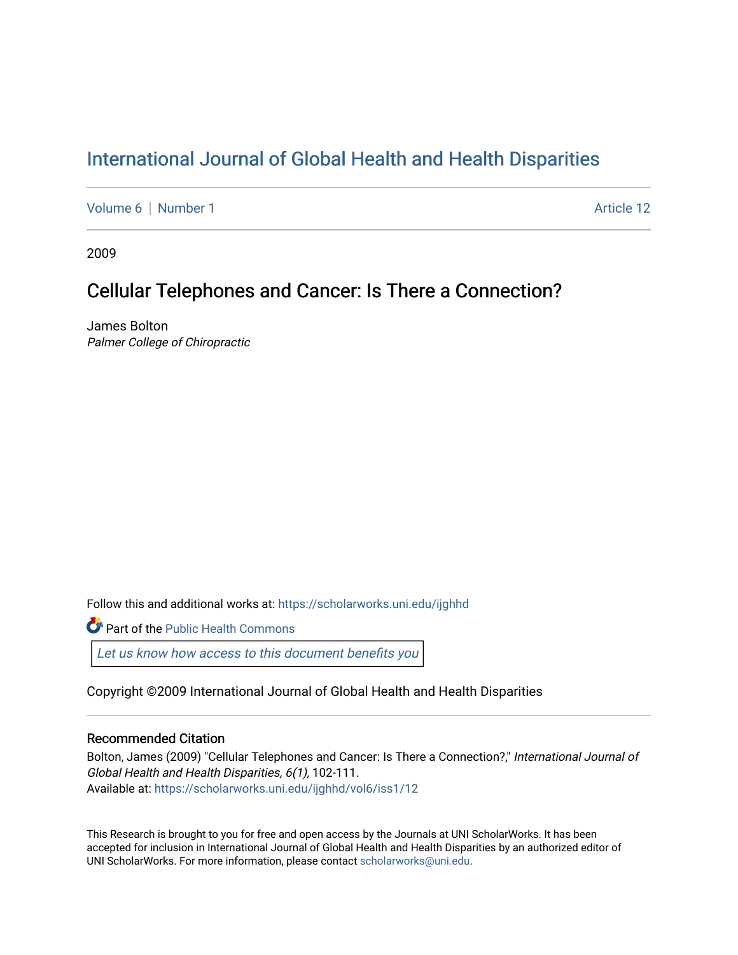# [International Journal of Global Health and Health Disparities](https://scholarworks.uni.edu/ijghhd)

[Volume 6](https://scholarworks.uni.edu/ijghhd/vol6) | [Number 1](https://scholarworks.uni.edu/ijghhd/vol6/iss1) Article 12

2009

# Cellular Telephones and Cancer: Is There a Connection?

James Bolton Palmer College of Chiropractic

Follow this and additional works at: [https://scholarworks.uni.edu/ijghhd](https://scholarworks.uni.edu/ijghhd?utm_source=scholarworks.uni.edu%2Fijghhd%2Fvol6%2Fiss1%2F12&utm_medium=PDF&utm_campaign=PDFCoverPages)

**Part of the Public Health Commons** 

Let us know how access to this document benefits you

Copyright ©2009 International Journal of Global Health and Health Disparities

## Recommended Citation

Bolton, James (2009) "Cellular Telephones and Cancer: Is There a Connection?," International Journal of Global Health and Health Disparities, 6(1), 102-111. Available at: [https://scholarworks.uni.edu/ijghhd/vol6/iss1/12](https://scholarworks.uni.edu/ijghhd/vol6/iss1/12?utm_source=scholarworks.uni.edu%2Fijghhd%2Fvol6%2Fiss1%2F12&utm_medium=PDF&utm_campaign=PDFCoverPages)

This Research is brought to you for free and open access by the Journals at UNI ScholarWorks. It has been accepted for inclusion in International Journal of Global Health and Health Disparities by an authorized editor of UNI ScholarWorks. For more information, please contact [scholarworks@uni.edu.](mailto:scholarworks@uni.edu)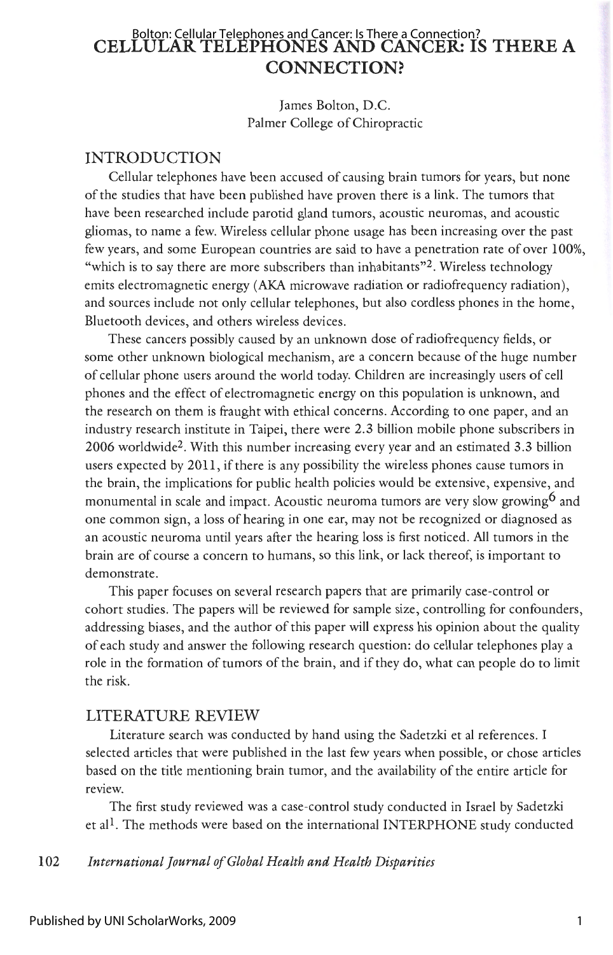# **CELLULAR TELEPHONES AND CANCER: IS THERE A CONNECTION?**  Bolton: Cellular Telephones and Cancer: Is There a Connection?

James Bolton, D.C. Palmer College of Chiropractic

## INTRODUCTION

Cellular telephones have been accused of causing brain tumors for years, but none of the studies that have been published have proven there is a link. The tumors that have been researched include parotid gland tumors, acoustic neuromas, and acoustic gliomas, to name a few. Wireless cellular phone usage has been increasing over the past few years, and some European countries are said to have a penetration rate of over 100%, "which is to say there are more subscribers than inhabitants"<sup>2</sup>. Wireless technology emits electromagnetic energy (AKA microwave radiation or radiofrequency radiation), and sources include not only cellular telephones, but also cordless phones in the home, Bluetooth devices, and others wireless devices.

These cancers possibly caused by an unknown dose of radiofrequency fields, or some other unknown biological mechanism, are a concern because of the huge number of cellular phone users around the world today. Children are increasingly users of cell phones and the effect of electromagnetic energy on this population is unknown, and the research on them is fraught with ethical concerns. According to one paper, and an industry research institute in Taipei, there were 2.3 billion mobile phone subscribers in 2006 worldwide2. With this number increasing every year and an estimated 3.3 billion users expected by 2011 , if there is any possibility the wireless phones cause tumors in the brain, the implications for public health policies would be extensive, expensive, and monumental in scale and impact. Acoustic neuroma tumors are very slow growing<sup>6</sup> and one common sign, a loss of hearing in one ear, may not be recognized or diagnosed as an acoustic neuroma until years after the hearing loss is first noticed. All tumors in the brain are of course a concern to humans, so this link, or lack thereof, is important to demonstrate.

This paper focuses on several research papers that are primarily case-control or cohort studies. The papers will be reviewed for sample size, controlling for confounders, addressing biases, and the author of this paper will express his opinion about the quality of each study and answer the following research question: do cellular telephones play a role in the formation of tumors of the brain, and if they do, what can people do to limit the risk.

## LITERATURE REVIEW

Literature search was conducted by hand using the Sadetzki et al references. I selected articles that were published in the last few years when possible, or chose articles based on the title mentioning brain tumor, and the availability of the entire article for review.

The first study reviewed was a case-control study conducted in Israel by Sadetzki et al<sup>1</sup>. The methods were based on the international INTERPHONE study conducted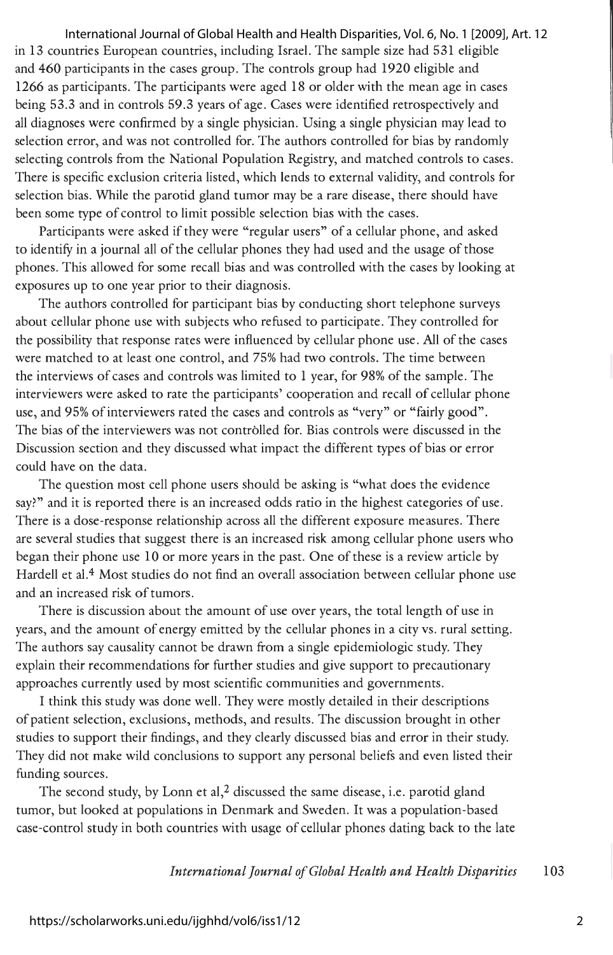in 13 countries European countries, including Israel. The sample size had 531 eligible and 460 participants in the cases group. The controls group had 1920 eligible and 1266 as participants. The participants were aged 18 or older with the mean age in cases being 53.3 and in controls 59 .3 years of age. Cases were identified retrospectively and all diagnoses were confirmed by a single physician. Using a single physician may lead to selection error, and was not controlled for. The authors controlled for bias by randomly selecting controls from the National Population Registry, and matched controls to cases. There is specific exclusion criteria listed, which lends to external validity, and controls for selection bias. While the parotid gland tumor may be a rare disease, there should have been some type of control to limit possible selection bias with the cases. International Journal of Global Health and Health Disparities, Vol. 6, No. 1 [2009], Art. 12

Participants were asked if they were "regular users" of a cellular phone, and asked to identify in a journal all of the cellular phones they had used and the usage of those phones. This allowed for some recall bias and was controlled with the cases by looking at exposures up to one year prior to their diagnosis.

The authors controlled for participant bias by conducting short telephone surveys about cellular phone use with subjects who refused to participate. They controlled for the possibility that response rates were influenced by cellular phone use. All of the cases were matched to at least one control, and 75% had two controls. The time between the interviews of cases and controls was limited to 1 year, for 98% of the sample. The interviewers were asked to rate the participants' cooperation and recall of cellular phone use, and 95% of interviewers rated the cases and controls as "very" or "fairly good". The bias of the interviewers was not controlled for. Bias controls were discussed in the Discussion section and they discussed what impact the different types of bias or error could have on the data.

The question most cell phone users should be asking is "what does the evidence say?" and it is reported there is an increased odds ratio in the highest categories of use. There is a dose-response relationship across all the different exposure measures. There are several studies that suggest there is an increased risk among cellular phone users who began their phone use 10 or more years in the past. One of these is a review article by Hardell et al.<sup>4</sup> Most studies do not find an overall association between cellular phone use and an increased risk of tumors.

There is discussion about the amount of use over years, the total length of use in years, and the amount of energy emitted by the cellular phones in a city vs. rural setting. The authors say causality cannot be drawn from a single epidemiologic study. They explain their recommendations for further studies and give support to precautionary approaches currently used by most scientific communities and governments.

I think this study was done well. They were mostly detailed in their descriptions of patient selection, exclusions, methods, and results. The discussion brought in other studies to support their findings, and they clearly discussed bias and error in their study. They did not make wild conclusions to support any personal beliefs and even listed their funding sources.

The second study, by Lonn et al,<sup>2</sup> discussed the same disease, i.e. parotid gland tumor, but looked at populations in Denmark and Sweden. It was a population-based case-control study in both countries with usage of cellular phones dating back to the late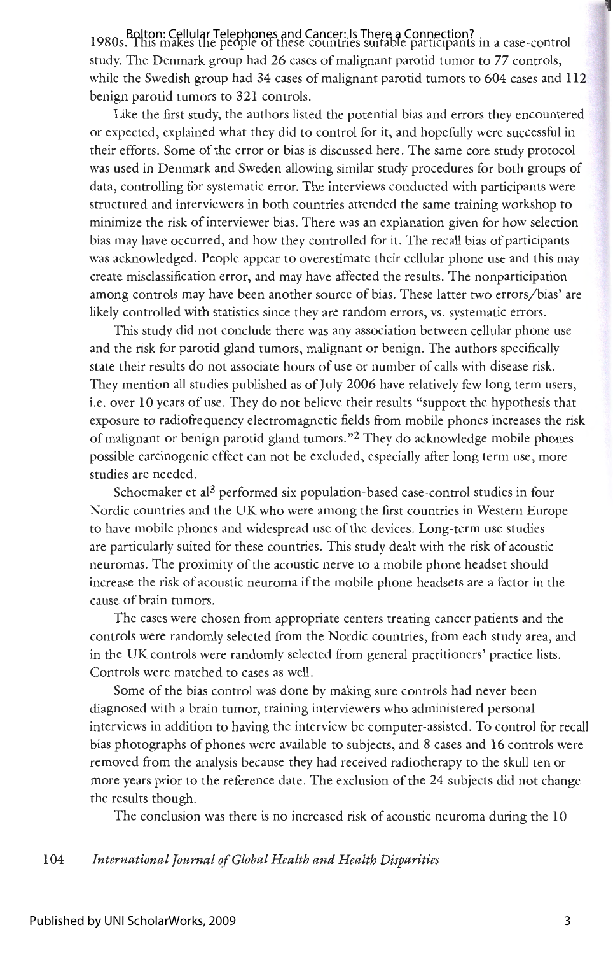Bolton: Cellular Telephones and Cancer: Is There a Connection?<br>1980s. This makes the people of these countries suitable participants in a case-control study. The Denmark group had 26 cases of malignant parotid tumor to 77 controls, while the Swedish group had 34 cases of malignant parotid tumors to 604 cases and 112 benign parotid tumors to 321 controls.

Like the first study, the authors listed the potential bias and errors they encountered or expected, explained what they did to control for it, and hopefully were successful in their efforts. Some of the error or bias is discussed here. The same core study protocol was used in Denmark and Sweden allowing similar study procedures for both groups of data, controlling for systematic error. The interviews conducted with participants were structured and interviewers in both countries attended the same training workshop to minimize the risk of interviewer bias. There was an explanation given for how selection bias may have occurred, and how they controlled for it. The recall bias of participants was acknowledged. People appear to overestimate their cellular phone use and this may create misclassification error, and may have affected the results. The nonparticipation among controls may have been another source of bias. These latter two errors/ bias' are likely controlled with statistics since they are random errors, vs. systematic errors.

This study did not conclude there was any association between cellular phone use and the risk for parotid gland tumors, malignant or benign. The authors specifically state their results do not associate hours of use or number of calls with disease risk. They mention all studies published as of July 2006 have relatively few long term users, i.e. over 10 years of use. They do not believe their results "support the hypothesis that exposure to radiofrequency electromagnetic fields from mobile phones increases the risk of malignant or benign parotid gland tumors. "<sup>2</sup>They do acknowledge mobile phones possible carcinogenic effect can not be excluded, especially after long term use, more studies are needed.

Schoemaker et al<sup>3</sup> performed six population-based case-control studies in four Nordic countries and the UK who were among the first countries in Western Europe to have mobile phones and widespread use of the devices. Long-term use studies are particularly suited for these countries. This study dealt with the risk of acoustic neuromas. The proximity of the acoustic nerve to a mobile phone headset should increase the risk of acoustic neuroma if the mobile phone headsets are a factor in the cause of brain tumors.

The cases were chosen from appropriate centers treating cancer patients and the controls were randomly selected from the Nordic countries, from each study area, and in the UK controls were randomly selected from general practitioners' practice lists. Controls were matched to cases as well.

Some of the bias control was done by making sure controls had never been diagnosed with a brain tumor, training interviewers who administered personal interviews in addition to having the interview be computer-assisted. To control for recall bias photographs of phones were available to subjects, and 8 cases and 16 controls were removed from the analysis because they had received radiotherapy to the skull ten or more years prior to the reference date. The exclusion of the 24 subjects did not change the results though.

The conclusion was there is no increased risk of acoustic neuroma during the 10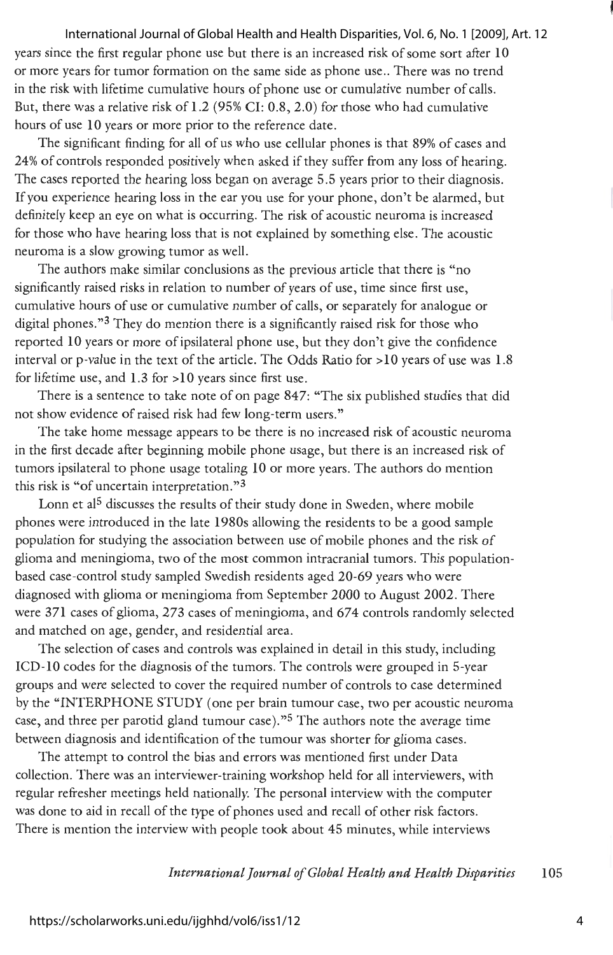#### International Journal of Global Health and Health Disparities, Vol. 6, No. 1 [2009], Art. 12

years since the first regular phone use but there is an increased risk of some sort after 10 or more years for tumor formation on the same side as phone use .. There was no trend in the risk with lifetime cumulative hours of phone use or cumulative number of calls. But, there was a relative risk of 1.2 (95% CI: 0.8, 2.0) for those who had cumulative hours of use 10 years or more prior to the reference date.

The significant finding for all of us who use cellular phones is that 89% of cases and 24% of controls responded positively when asked if they suffer from any loss of hearing. The cases reported the hearing loss began on average 5.5 years prior to their diagnosis. If you experience hearing loss in the ear you use for your phone, don't be alarmed, but definitely keep an eye on what is occurring. The risk of acoustic neuroma is increased for those who have hearing loss that is not explained by something else. The acoustic neuroma is a slow growing tumor as well.

The authors make similar conclusions as the previous article that there is "no significantly raised risks in relation to number of years of use, time since first use, cumulative hours of use or cumulative number of calls, or separately for analogue or digital phones."3 They do mention there is a significantly raised risk for those who reported 10 years or more of ipsilateral phone use, but they don't give the confidence interval or p-value in the text of the article. The Odds Ratio for >10 years of use was 1.8 for lifetime use, and  $1.3$  for  $>10$  years since first use.

There is a sentence to take note of on page 847: "The six published studies that did not show evidence of raised risk had few long-term users."

The take home message appears to be there is no increased risk of acoustic neuroma in the first decade after beginning mobile phone usage, but there is an increased risk of tumors ipsilateral to phone usage totaling 10 or more years. The authors do mention this risk is "of uncertain interpretation. »3

Lonn et al<sup>5</sup> discusses the results of their study done in Sweden, where mobile phones were introduced in the late 1980s allowing the residents to be a good sample population for studying the association between use of mobile phones and the risk of glioma and meningioma, two of the most common intracranial tumors. This populationbased case-control study sampled Swedish residents aged 20-69 years who were diagnosed with glioma or meningioma from September 2000 to August 2002. There were 371 cases of glioma, 273 cases of meningioma, and 674 controls randomly selected and matched on age, gender, and residential area.

The selection of cases and controls was explained in detail in this study, including ICD-10 codes for the diagnosis of the tumors. The controls were grouped in 5-year groups and were selected to cover the required number of controls to case determined by the "INTERPHONE STUDY ( one per brain tumour case, two per acoustic neuroma case, and three per parotid gland tumour case)."5 The authors note the average time between diagnosis and identification of the tumour was shorter for glioma cases.

The attempt to control the bias and errors was mentioned first under Data collection. There was an interviewer-training workshop held for all interviewers, with regular refresher meetings held nationally. The personal interview with the computer was done to aid in recall of the type of phones used and recall of other risk factors. There is mention the interview with people took about 45 minutes, while interviews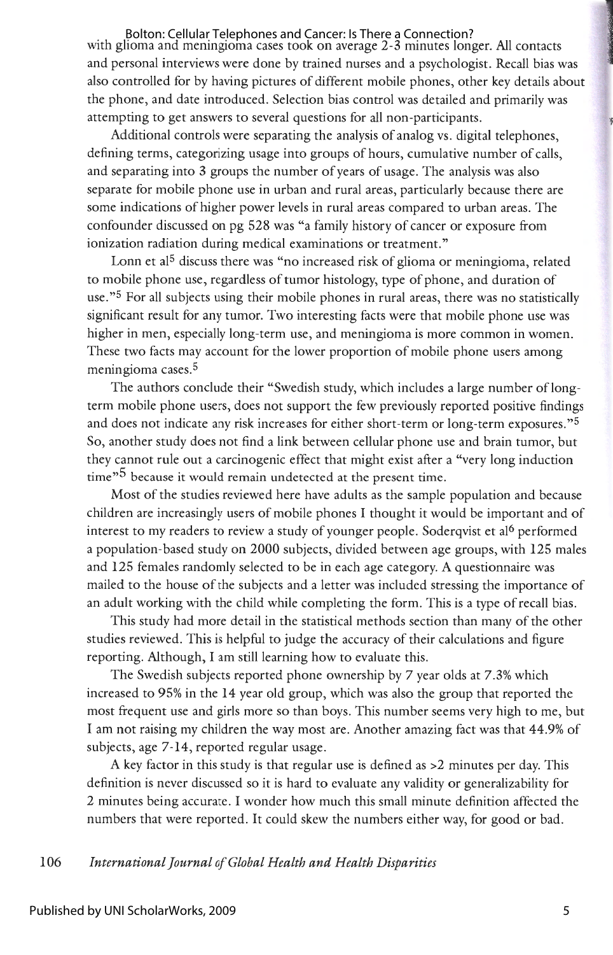with glioma and meningioma cases took on average 2-3 minutes longer. All contacts and personal interviews were done by trained nurses and a psychologist. Recall bias was also controlled for by having pictures of different mobile phones, other key details about the phone, and date introduced. Selection bias control was detailed and primarily was attempting to get answers to several questions for all non-participants. Bolton: Cellular Telephones and Cancer: Is There a Connection?

Additional controls were separating the analysis of analog vs. digital telephones, defining terms, categorizing usage into groups of hours, cumulative number of calls, and separating into 3 groups the number of years of usage. The analysis was also separate for mobile phone use in urban and rural areas, particularly because there are some indications of higher power levels in rural areas compared to urban areas. The confounder discussed on pg 528 was "a family history of cancer or exposure from ionization radiation during medical examinations or treatment."

Lonn et al<sup>5</sup> discuss there was "no increased risk of glioma or meningioma, related to mobile phone use, regardless of tumor histology, type of phone, and duration of use. »5 For all subjects using their mobile phones in rural areas, there was no statistically significant result for any tumor. Two interesting facts were that mobile phone use was higher in men, especially long-term use, and meningioma is more common in women. These two facts may account for the lower proportion of mobile phone users among meningioma cases.5

The authors conclude their "Swedish study, which includes a large number of longterm mobile phone users, does not support the few previously reported positive findings and does not indicate any risk increases for either short-term or long-term exposures."<sup>5</sup> So, another study does not find a link between cellular phone use and brain tumor, but they cannot rule out a carcinogenic effect that might exist after a "very long induction time<sup>"5</sup> because it would remain undetected at the present time.

Most of the studies reviewed here have adults as the sample population and because children are increasingly users of mobile phones I thought it would be important and of interest to my readers to review a study of younger people. Soderqvist et al<sup>6</sup> performed a population-based study on 2000 subjects, divided between age groups, with 125 males and 125 females randomly selected to be in each age category. A questionnaire was mailed to the house of the subjects and a letter was included stressing the importance of an adult working with the child while completing the form. This is a type of recall bias.

This study had more detail in the statistical methods section than many of the other studies reviewed. This is helpful to judge the accuracy of their calculations and figure reporting. Although, I am still learning how to evaluate this.

The Swedish subjects reported phone ownership by 7 year olds at 7.3% which increased to 95% in the 14 year old group, which was also the group that reported the most frequent use and girls more so than boys. This number seems very high to me, but I am not raising my children the way most are. Another amazing fact was that 44.9% of subjects, age 7-14, reported regular usage.

A key factor in this study is that regular use is defined as >2 minutes per day. This definition is never discussed so it is hard to evaluate any validity or generalizability for 2 minutes being accurate. I wonder how much this small minute definition affected the numbers that were reported. It could skew the numbers either way, for good or bad.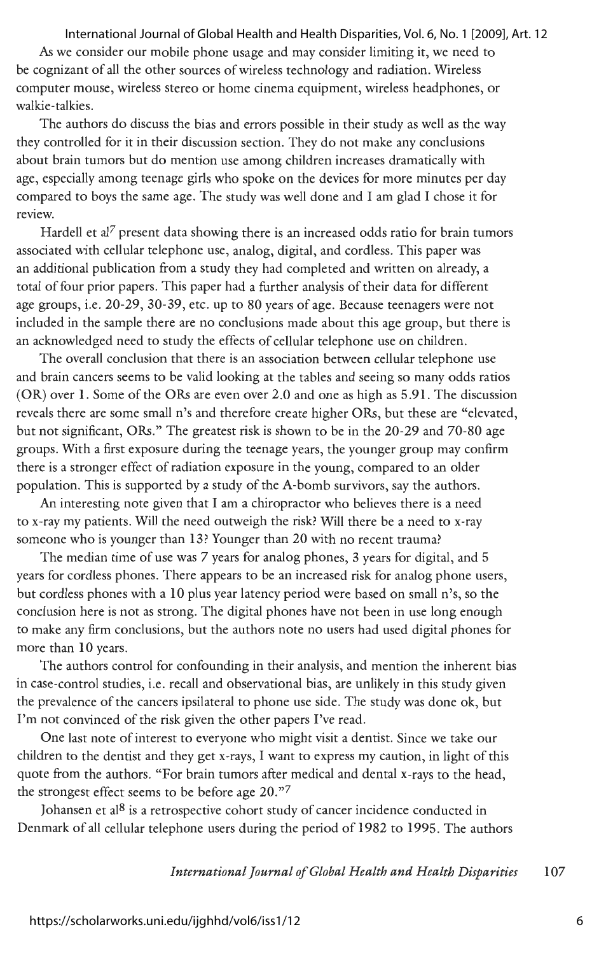#### International Journal of Global Health and Health Disparities, Vol. 6, No. 1 [2009], Art. 12

As we consider our mobile phone usage and may consider limiting it, we need to be cognizant of all the other sources of wireless technology and radiation. Wireless computer mouse, wireless stereo or home cinema equipment, wireless headphones, or walkie-talkies.

The authors do discuss the bias and errors possible in their study as well as the way they controlled for it in their discussion section. They do not make any conclusions about brain tumors but do mention use among children increases dramatically with age, especially among teenage girls who spoke on the devices for more minutes per day compared to boys the same age. The study was well done and I am glad I chose it for review.

Hardell et al<sup>7</sup> present data showing there is an increased odds ratio for brain tumors associated with cellular telephone use, analog, digital, and cordless. This paper was an additional publication from a study they had completed and written on already, a total of four prior papers. This paper had a further analysis of their data for different age groups, i.e. 20-29, 30-39, etc. up to 80 years of age. Because teenagers were not included in the sample there are no conclusions made about this age group, but there is an acknowledged need to study the effects of cellular telephone use on children.

The overall conclusion that there is an association between cellular telephone use and brain cancers seems to be valid looking at the tables and seeing so many odds ratios (OR) over 1. Some of the ORs are even over 2.0 and one as high as 5.91. The discussion reveals there are some small n's and therefore create higher ORs, but these are "elevated, but not significant, ORs." The greatest risk is shown to be in the 20-29 and 70-80 age groups. With a first exposure during the teenage years, the younger group may confirm there is a stronger effect of radiation exposure in the young, compared to an older population. This is supported by a study of the A-bomb survivors, say the authors.

An interesting note given that I am a chiropractor who believes there is a need to x-ray my patients. Will the need outweigh the risk? Will there be a need to x-ray someone who is younger than 13? Younger than 20 with no recent trauma?

The median time of use was 7 years for analog phones, 3 years for digital, and 5 years for cordless phones. There appears to be an increased risk for analog phone users, but cordless phones with a 10 plus year latency period were based on small n's, so the conclusion here is not as strong. The digital phones have not been in use long enough to make any firm conclusions, but the authors note no users had used digital phones for more than 10 years.

The authors control for confounding in their analysis, and mention the inherent bias in case-control studies, i.e. recall and observational bias, are unlikely in this study given the prevalence of the cancers ipsilateral to phone use side. The study was done ok, but I'm not convinced of the risk given the other papers I've read.

One last note of interest to everyone who might visit a dentist. Since we take our children to the dentist and they get x-rays, I want to express my caution, in light of this quote from the authors. "For brain tumors after medical and dental x-rays to the head, the strongest effect seems to be before age 20."7

Johansen et al $8$  is a retrospective cohort study of cancer incidence conducted in Denmark of all cellular telephone users during the period of 1982 to 1995. The authors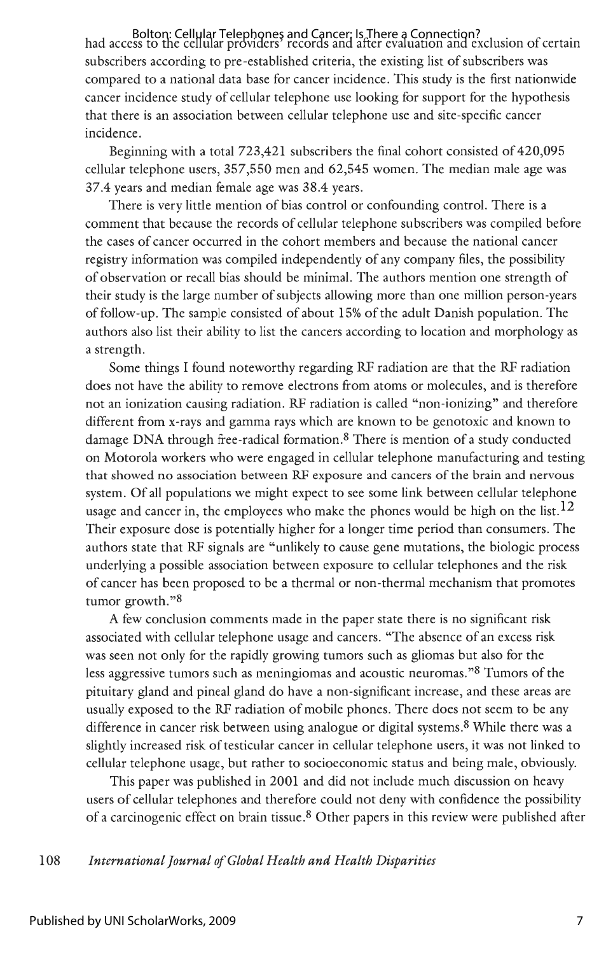had access to the cellular providers' records and after evaluation and exclusion of certain Bolton: Cellular Telephones and Cancer: Is There a Connection? subscribers according to pre-established criteria, the existing list of subscribers was compared to a national data base for cancer incidence. This study is the first nationwide cancer incidence study of cellular telephone use looking for support for the hypothesis that there is an association between cellular telephone use and site-specific cancer incidence.

Beginning with a total 723,421 subscribers the final cohort consisted of 420,095 cellular telephone users, 357,550 men and 62,545 women. The median male age was 37.4 years and median female age was 38.4 years.

There is very little mention of bias control or confounding control. There is a comment that because the records of cellular telephone subscribers was compiled before the cases of cancer occurred in the cohort members and because the national cancer registry information was compiled independently of any company files, the possibility of observation or recall bias should be minimal. The authors mention one strength of their study is the large number of subjects allowing more than one million person-years of follow-up. The sample consisted of about 15% of the adult Danish population. The authors also list their ability to list the cancers according to location and morphology as a strength.

Some things I found noteworthy regarding RF radiation are that the RF radiation does not have the ability to remove electrons from atoms or molecules, and is therefore not an ionization causing radiation. RF radiation is called "non-ionizing" and therefore different from x-rays and gamma rays which are known to be genotoxic and known to damage DNA through free-radical formation.<sup>8</sup> There is mention of a study conducted on Motorola workers who were engaged in cellular telephone manufacturing and testing that showed no association between RF exposure and cancers of the brain and nervous system. Of all populations we might expect to see some link between cellular telephone usage and cancer in, the employees who make the phones would be high on the list.<sup>12</sup> Their exposure dose is potentially higher for a longer time period than consumers. The authors state that RF signals are "unlikely to cause gene mutations, the biologic process underlying a possible association between exposure to cellular telephones and the risk of cancer has been proposed to be a thermal or non-thermal mechanism that promotes tumor growth."<sup>8</sup>

A few conclusion comments made in the paper state there is no significant risk associated with cellular telephone usage and cancers. "The absence of an excess risk was seen not only for the rapidly growing tumors such as gliomas but also for the less aggressive tumors such as meningiomas and acoustic neuromas. "<sup>8</sup>Tumors of the pituitary gland and pineal gland do have a non-significant increase, and these areas are usually exposed to the RF radiation of mobile phones. There does not seem to be any difference in cancer risk between using analogue or digital systems.<sup>8</sup>While there was a slightly increased risk of testicular cancer in cellular telephone users, it was not linked to cellular telephone usage, but rather to socioeconomic status and being male, obviously.

This paper was published in 2001 and did not include much discussion on heavy users of cellular telephones and therefore could not deny with confidence the possibility of a carcinogenic effect on brain tissue.<sup>8</sup>Other papers in this review were published after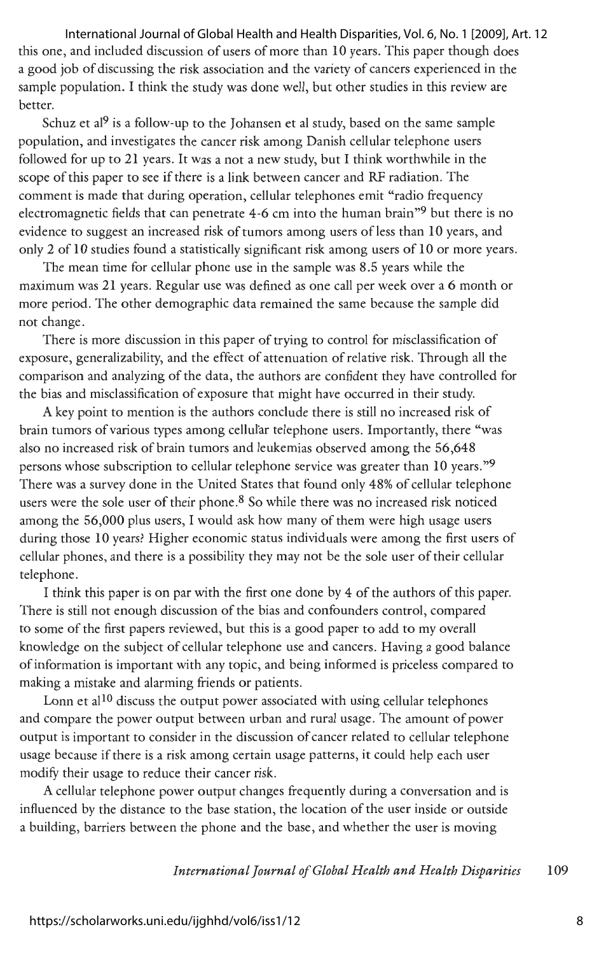this one, and included discussion of users of more than **10** years. This paper though does a good job of discussing the risk association and the variety of cancers experienced in the sample population. I think the study was done well, but other studies in this review are better. International Journal of Global Health and Health Disparities, Vol. 6, No. 1 [2009], Art. 12

Schuz et al<sup>9</sup> is a follow-up to the Johansen et al study, based on the same sample population, and investigates the cancer risk among Danish cellular telephone users followed for up to 21 years. It was a not a new study, but I think worthwhile in the scope of this paper to see if there is a link between cancer and RF radiation. The comment is made that during operation, cellular telephones emit "radio frequency electromagnetic fields that can penetrate 4-6 cm into the human brain"9 but there is no evidence to suggest an increased risk of tumors among users of less than 10 years, and only 2 of 10 studies found a statistically significant risk among users of 10 or more years.

The mean time for cellular phone use in the sample was 8.5 years while the maximum was 21 years. Regular use was defined as one call per week over a 6 month or more period. The other demographic data remained the same because the sample did not change.

There is more discussion in this paper of trying to control for misclassification of exposure, generalizability, and the effect of attenuation of relative risk. Through all the comparison and analyzing of the data, the authors are confident they have controlled for the bias and misclassification of exposure that might have occurred in their study.

A key point to mention is the authors conclude there is still no increased risk of brain tumors of various types among cellular telephone users. Importantly, there "was also no increased risk of brain tumors and leukemias observed among the 56,648 persons whose subscription to cellular telephone service was greater than 10 years."9 There was a survey done in the United States that found only 48% of cellular telephone users were the sole user of their phone.<sup>8</sup> So while there was no increased risk noticed among the 56,000 plus users, I would ask how many of them were high usage users during those 10 years? Higher economic status individuals were among the first users of cellular phones, and there is a possibility they may not be the sole user of their cellular telephone.

I think this paper is on par with the first one done by 4 of the authors of this paper. There is still not enough discussion of the bias and confounders control, compared to some of the first papers reviewed, but this is a good paper to add to my overall knowledge on the subject of cellular telephone use and cancers. Having a good balance of information is important with any topic, and being informed is priceless compared to making a mistake and alarming friends or patients.

Lonn et al<sup>10</sup> discuss the output power associated with using cellular telephones and compare the power output between urban and rural usage . The amount of power output is important to consider in the discussion of cancer related to cellular telephone usage because if there is a risk among certain usage patterns, it could help each user modify their usage to reduce their cancer risk.

A cellular telephone power output changes frequently during a conversation and is influenced by the distance to the base station, the location of the user inside or outside a building, barriers between the phone and the base, and whether the user is moving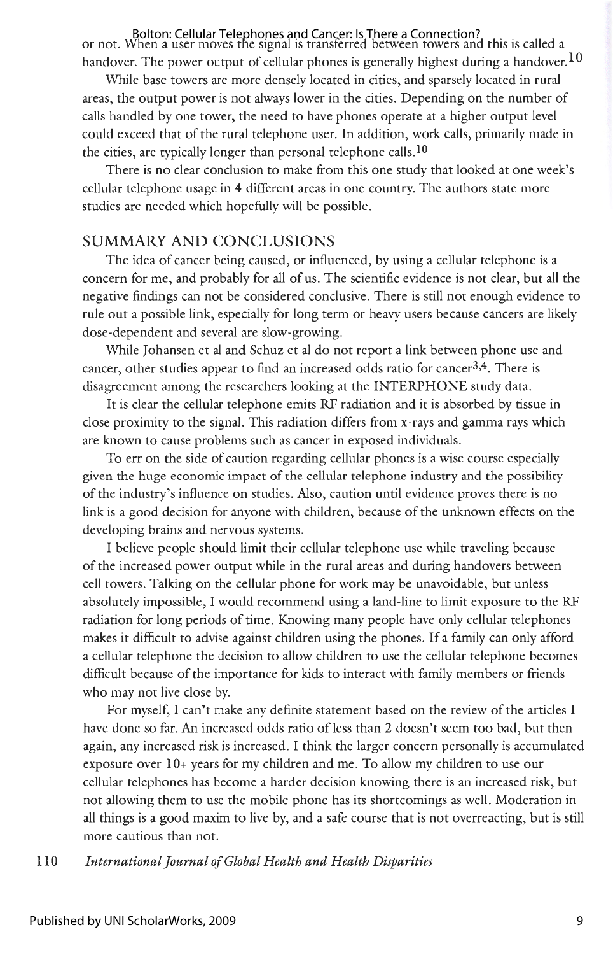or not. When a user moves the signal is transferred between towers and this is called a Bolton: Cellular Telephones and Cancer: Is There a Connection? handover. The power output of cellular phones is generally highest during a handover.  $10$ 

While base towers are more densely located in cities, and sparsely located in rural areas, the output power is not always lower in the cities. Depending on the number of calls handled by one tower, the need to have phones operate at a higher output level could exceed that of the rural telephone user. In addition, work calls, primarily made in the cities, are typically longer than personal telephone calls.<sup>10</sup>

There is no clear conclusion to make from this one study that looked at one week's cellular telephone usage in 4 different areas in one country. The authors state more studies are needed which hopefully will be possible.

## SUMMARY AND CONCLUSIONS

The idea of cancer being caused, or influenced, by using a cellular telephone is a concern for me, and probably for all of us. The scientific evidence is not clear, but all the negative findings can not be considered conclusive. There is still not enough evidence to rule out a possible link, especially for long term or heavy users because cancers are likely dose-dependent and several are slow-growing.

While Johansen et al and Schuz et al do not report a link between phone use and cancer, other studies appear to find an increased odds ratio for cancer<sup>3,4</sup>. There is disagreement among the researchers looking at the INTERPHONE study data.

It is clear the cellular telephone emits RF radiation and it is absorbed by tissue in close proximity to the signal. This radiation differs from x-rays and gamma rays which are known to cause problems such as cancer in exposed individuals.

To err on the side of caution regarding cellular phones is a wise course especially given the huge economic impact of the cellular telephone industry and the possibility of the industry's influence on studies. Also, caution until evidence proves there is no link is a good decision for anyone with children, because of the unknown effects on the developing brains and nervous systems.

I believe people should limit their cellular telephone use while traveling because of the increased power output while in the rural areas and during handovers between cell towers. Talking on the cellular phone for work may be unavoidable, but unless absolutely impossible, I would recommend using a land-line to limit exposure to the RF radiation for long periods of time. Knowing many people have only cellular telephones makes it difficult to advise against children using the phones. If a family can only afford a cellular telephone the decision to allow children to use the cellular telephone becomes difficult because of the importance for kids to interact with family members or friends who may not live close by.

For myself, I can't make any definite statement based on the review of the articles I have done so far. An increased odds ratio of less than 2 doesn't seem too bad, but then again, any increased risk is increased. I think the larger concern personally is accumulated exposure over 10+ years for my children and me. To allow my children to use our cellular telephones has become a harder decision knowing there is an increased risk, but not allowing them to use the mobile phone has its shortcomings as well. Moderation in all things is a good maxim to live by, and a safe course that is not overreacting, but is still more cautious than not.